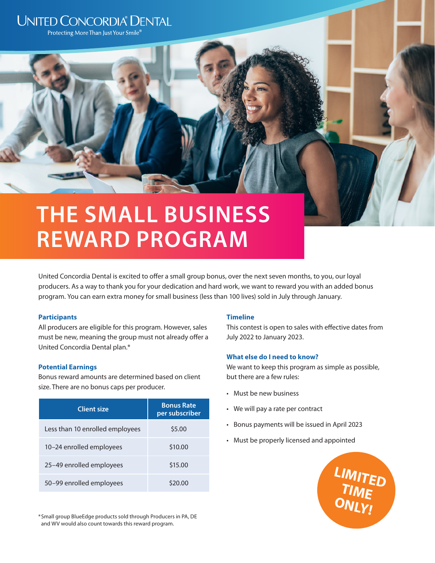# **UNITED CONCORDIA® DENTAL**

Protecting More Than Just Your Smile<sup>®</sup>

# **THE SMALL BUSINESS REWARD PROGRAM**

United Concordia Dental is excited to offer a small group bonus, over the next seven months, to you, our loyal producers. As a way to thank you for your dedication and hard work, we want to reward you with an added bonus program. You can earn extra money for small business (less than 100 lives) sold in July through January.

# **Participants**

All producers are eligible for this program. However, sales must be new, meaning the group must not already offer a United Concordia Dental plan.\*

# **Potential Earnings**

Bonus reward amounts are determined based on client size. There are no bonus caps per producer.

| <b>Client size</b>              | <b>Bonus Rate</b><br>per subscriber |
|---------------------------------|-------------------------------------|
| Less than 10 enrolled employees | \$5.00                              |
| 10-24 enrolled employees        | \$10.00                             |
| 25–49 enrolled employees        | \$15.00                             |
| 50–99 enrolled employees        |                                     |

\*Small group BlueEdge products sold through Producers in PA, DE and WV would also count towards this reward program.

# **Timeline**

This contest is open to sales with effective dates from July 2022 to January 2023.

# **What else do I need to know?**

We want to keep this program as simple as possible, but there are a few rules:

- Must be new business
- We will pay a rate per contract
- Bonus payments will be issued in April 2023
- Must be properly licensed and appointed